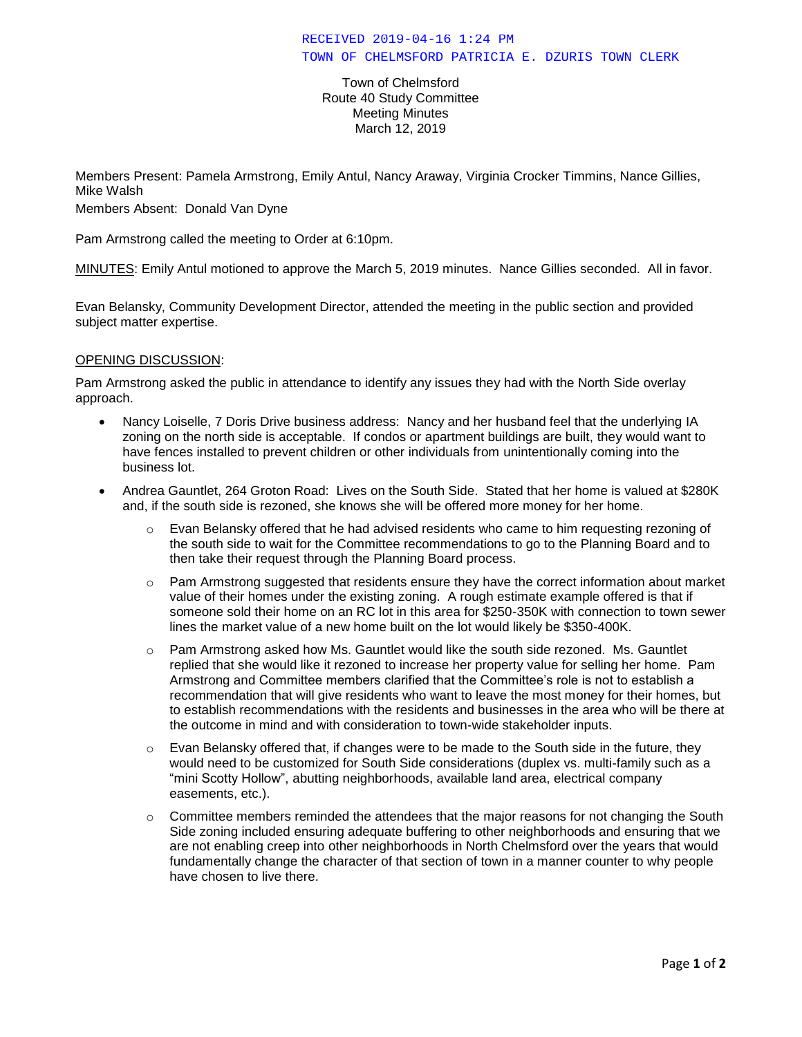Town of Chelmsford Route 40 Study Committee Meeting Minutes March 12, 2019

Members Present: Pamela Armstrong, Emily Antul, Nancy Araway, Virginia Crocker Timmins, Nance Gillies, Mike Walsh

Members Absent: Donald Van Dyne

Pam Armstrong called the meeting to Order at 6:10pm.

MINUTES: Emily Antul motioned to approve the March 5, 2019 minutes. Nance Gillies seconded. All in favor.

Evan Belansky, Community Development Director, attended the meeting in the public section and provided subject matter expertise.

#### OPENING DISCUSSION:

Pam Armstrong asked the public in attendance to identify any issues they had with the North Side overlay approach.

- Nancy Loiselle, 7 Doris Drive business address: Nancy and her husband feel that the underlying IA zoning on the north side is acceptable. If condos or apartment buildings are built, they would want to have fences installed to prevent children or other individuals from unintentionally coming into the business lot.
- Andrea Gauntlet, 264 Groton Road: Lives on the South Side. Stated that her home is valued at \$280K and, if the south side is rezoned, she knows she will be offered more money for her home.
	- $\circ$  Evan Belansky offered that he had advised residents who came to him requesting rezoning of the south side to wait for the Committee recommendations to go to the Planning Board and to then take their request through the Planning Board process.
	- o Pam Armstrong suggested that residents ensure they have the correct information about market value of their homes under the existing zoning. A rough estimate example offered is that if someone sold their home on an RC lot in this area for \$250-350K with connection to town sewer lines the market value of a new home built on the lot would likely be \$350-400K.
	- $\circ$  Pam Armstrong asked how Ms. Gauntlet would like the south side rezoned. Ms. Gauntlet replied that she would like it rezoned to increase her property value for selling her home. Pam Armstrong and Committee members clarified that the Committee's role is not to establish a recommendation that will give residents who want to leave the most money for their homes, but to establish recommendations with the residents and businesses in the area who will be there at the outcome in mind and with consideration to town-wide stakeholder inputs.
	- $\circ$  Evan Belansky offered that, if changes were to be made to the South side in the future, they would need to be customized for South Side considerations (duplex vs. multi-family such as a "mini Scotty Hollow", abutting neighborhoods, available land area, electrical company easements, etc.).
	- $\circ$  Committee members reminded the attendees that the major reasons for not changing the South Side zoning included ensuring adequate buffering to other neighborhoods and ensuring that we are not enabling creep into other neighborhoods in North Chelmsford over the years that would fundamentally change the character of that section of town in a manner counter to why people have chosen to live there.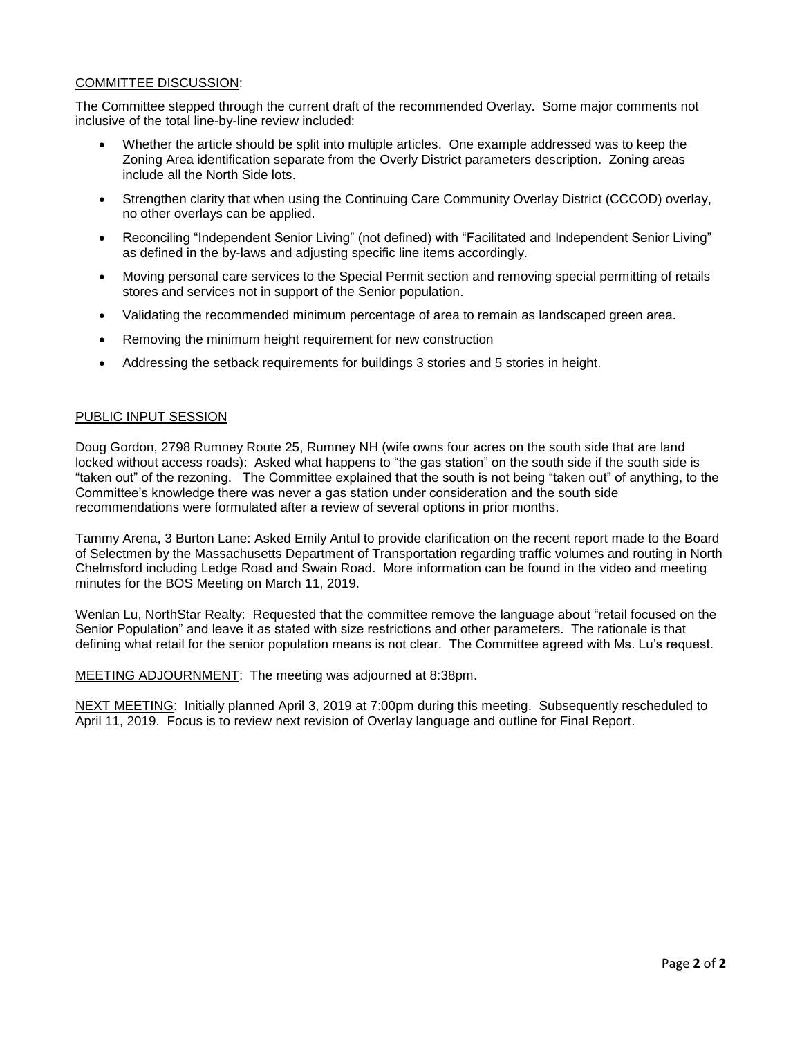#### COMMITTEE DISCUSSION:

The Committee stepped through the current draft of the recommended Overlay. Some major comments not inclusive of the total line-by-line review included:

- Whether the article should be split into multiple articles. One example addressed was to keep the Zoning Area identification separate from the Overly District parameters description. Zoning areas include all the North Side lots.
- Strengthen clarity that when using the Continuing Care Community Overlay District (CCCOD) overlay, no other overlays can be applied.
- Reconciling "Independent Senior Living" (not defined) with "Facilitated and Independent Senior Living" as defined in the by-laws and adjusting specific line items accordingly.
- Moving personal care services to the Special Permit section and removing special permitting of retails stores and services not in support of the Senior population.
- Validating the recommended minimum percentage of area to remain as landscaped green area.
- Removing the minimum height requirement for new construction
- Addressing the setback requirements for buildings 3 stories and 5 stories in height.

#### PUBLIC INPUT SESSION

Doug Gordon, 2798 Rumney Route 25, Rumney NH (wife owns four acres on the south side that are land locked without access roads): Asked what happens to "the gas station" on the south side if the south side is "taken out" of the rezoning. The Committee explained that the south is not being "taken out" of anything, to the Committee's knowledge there was never a gas station under consideration and the south side recommendations were formulated after a review of several options in prior months.

Tammy Arena, 3 Burton Lane: Asked Emily Antul to provide clarification on the recent report made to the Board of Selectmen by the Massachusetts Department of Transportation regarding traffic volumes and routing in North Chelmsford including Ledge Road and Swain Road. More information can be found in the video and meeting minutes for the BOS Meeting on March 11, 2019.

Wenlan Lu, NorthStar Realty: Requested that the committee remove the language about "retail focused on the Senior Population" and leave it as stated with size restrictions and other parameters. The rationale is that defining what retail for the senior population means is not clear. The Committee agreed with Ms. Lu's request.

MEETING ADJOURNMENT: The meeting was adjourned at 8:38pm.

NEXT MEETING: Initially planned April 3, 2019 at 7:00pm during this meeting. Subsequently rescheduled to April 11, 2019. Focus is to review next revision of Overlay language and outline for Final Report.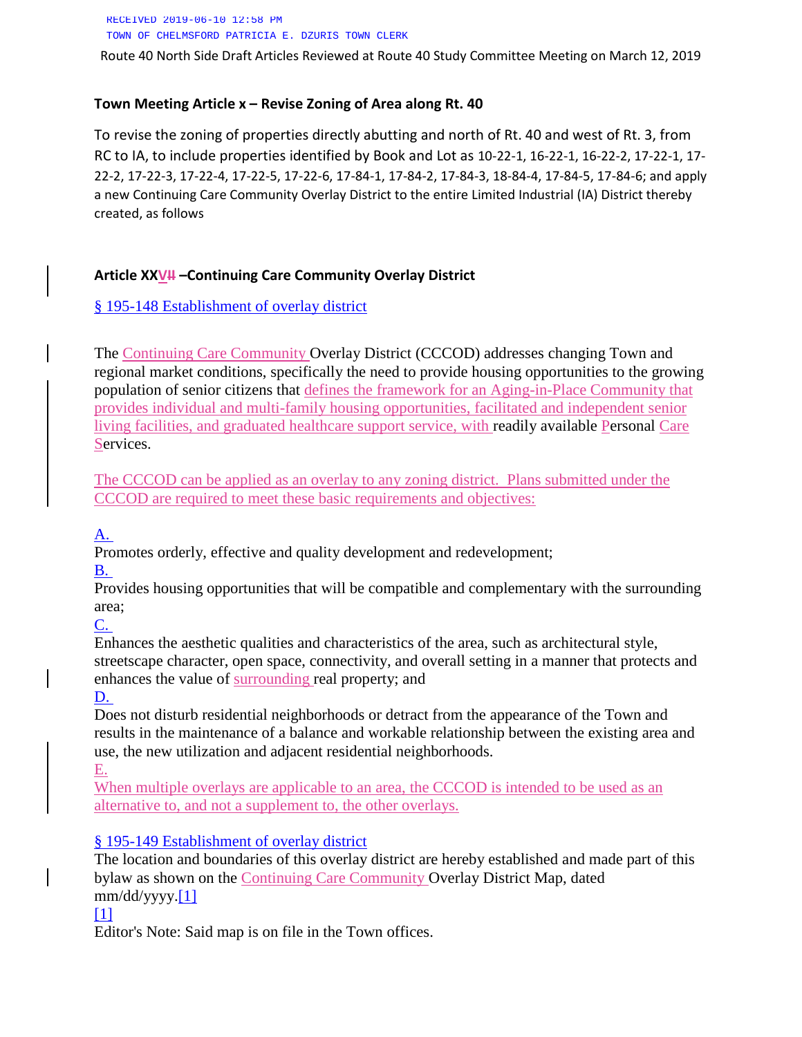RECEIVED 2019-06-10 12:58 PM TOWN OF CHELMSFORD PATRICIA E. DZURIS TOWN CLERK

Route 40 North Side Draft Articles Reviewed at Route 40 Study Committee Meeting on March 12, 2019

#### **Town Meeting Article x – Revise Zoning of Area along Rt. 40**

To revise the zoning of properties directly abutting and north of Rt. 40 and west of Rt. 3, from RC to IA, to include properties identified by Book and Lot as 10-22-1, 16-22-1, 16-22-2, 17-22-1, 17- 22-2, 17-22-3, 17-22-4, 17-22-5, 17-22-6, 17-84-1, 17-84-2, 17-84-3, 18-84-4, 17-84-5, 17-84-6; and apply a new Continuing Care Community Overlay District to the entire Limited Industrial (IA) District thereby created, as follows

#### **Article XXVII –Continuing Care Community Overlay District**

### § 195-148 [Establishment of overlay district](https://www.ecode360.com/32190167#32190174)

The Continuing Care Community Overlay District (CCCOD) addresses changing Town and regional market conditions, specifically the need to provide housing opportunities to the growing population of senior citizens that defines the framework for an Aging-in-Place Community that provides individual and multi-family housing opportunities, facilitated and independent senior living facilities, and graduated healthcare support service, with readily available Personal Care Services.

The CCCOD can be applied as an overlay to any zoning district. Plans submitted under the CCCOD are required to meet these basic requirements and objectives:

### [A.](https://www.ecode360.com/32190169#32190169)

Promotes orderly, effective and quality development and redevelopment;

[B.](https://www.ecode360.com/32190171#32190171)

Provides housing opportunities that will be compatible and complementary with the surrounding area;

### [C.](https://www.ecode360.com/32190172#32190172)

Enhances the aesthetic qualities and characteristics of the area, such as architectural style, streetscape character, open space, connectivity, and overall setting in a manner that protects and enhances the value of surrounding real property; and

### [D.](https://www.ecode360.com/32190173#32190173)

Does not disturb residential neighborhoods or detract from the appearance of the Town and results in the maintenance of a balance and workable relationship between the existing area and use, the new utilization and adjacent residential neighborhoods.

E.

When multiple overlays are applicable to an area, the CCCOD is intended to be used as an alternative to, and not a supplement to, the other overlays.

### § 195-149 [Establishment of overlay district](https://www.ecode360.com/32190167#32190174)

The location and boundaries of this overlay district are hereby established and made part of this bylaw as shown on the Continuing Care Community Overlay District Map, dated mm/dd/yyyy[.\[1\]](https://www.ecode360.com/32190167#ft32190174-1)

#### [\[1\]](https://www.ecode360.com/32190167#ref32190174-1)

Editor's Note: Said map is on file in the Town offices.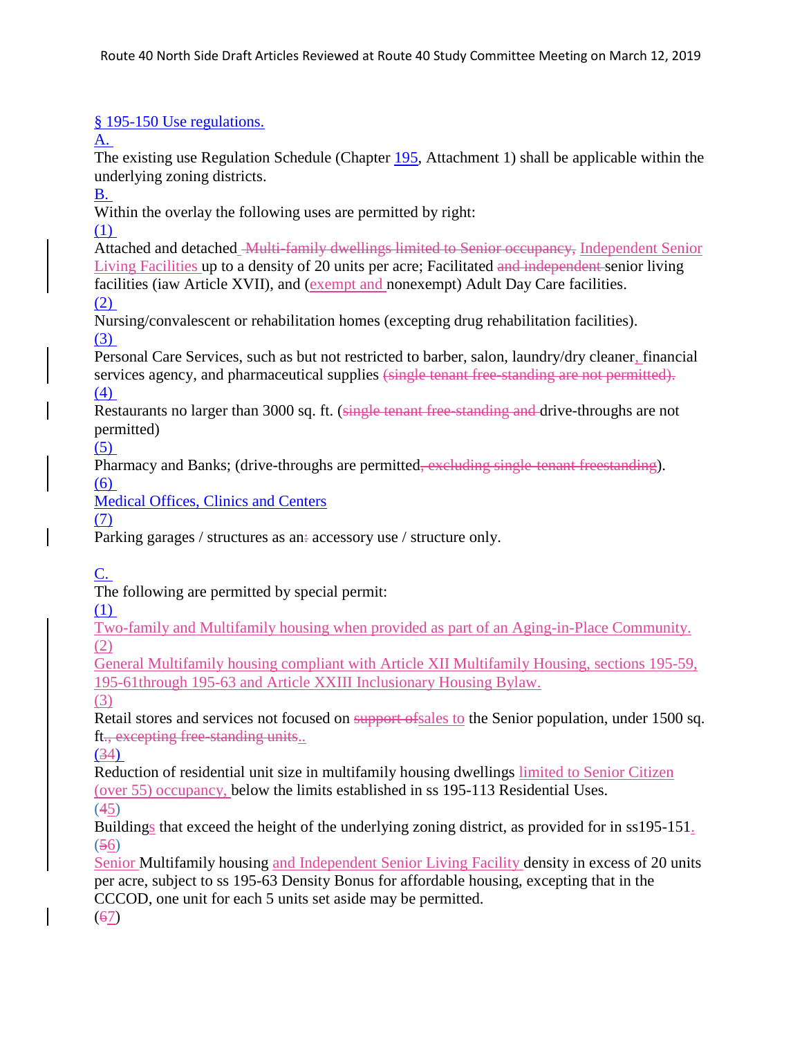# § 195-150 [Use regulations.](https://www.ecode360.com/32190167#32190175)

 $\mathbf{A}$ .

The existing use Regulation Schedule (Chapter [195,](https://www.ecode360.com/29363180#29363180) Attachment 1) shall be applicable within the underlying zoning districts.

[B.](https://www.ecode360.com/32190177#32190177)

Within the overlay the following uses are permitted by right:

[\(1\)](https://www.ecode360.com/32190178#32190178)

Attached and detached Multi-family dwellings limited to Senior occupancy, Independent Senior Living Facilities up to a density of 20 units per acre; Facilitated and independent senior living facilities (iaw Article XVII), and (exempt and nonexempt) Adult Day Care facilities. [\(2\)](https://www.ecode360.com/32190179#32190179)

Nursing/convalescent or rehabilitation homes (excepting drug rehabilitation facilities). [\(3\)](https://www.ecode360.com/32190180#32190180)

Personal Care Services, such as but not restricted to barber, salon, laundry/dry cleaner, financial services agency, and pharmaceutical supplies (single tenant free-standing are not permitted). [\(4\)](https://www.ecode360.com/32190181#32190181)

Restaurants no larger than 3000 sq. ft. (single tenant free-standing and drive-throughs are not permitted)

[\(5\)](https://www.ecode360.com/32190182#32190182)

Pharmacy and Banks; (drive-throughs are permitted, excluding single-tenant freestanding). [\(6\)](https://www.ecode360.com/32190183#32190183)

Medical Offices, Clinics and Centers

(7)

Parking garages / structures as an: accessory use / structure only.

[C.](https://www.ecode360.com/32190187#32190187)

The following are permitted by special permit:

[\(1\)](https://www.ecode360.com/32190188#32190188)

Two-family and Multifamily housing when provided as part of an Aging-in-Place Community. (2)

General Multifamily housing compliant with Article XII Multifamily Housing, sections 195-59, 195-61through 195-63 and Article XXIII Inclusionary Housing Bylaw.

(3)

Retail stores and services not focused on support ofsales to the Senior population, under 1500 sq. ft., excepting free-standing units..

[\(34\)](https://www.ecode360.com/32190190#32190190)

Reduction of residential unit size in multifamily housing dwellings limited to Senior Citizen (over 55) occupancy, below the limits established in ss 195-113 Residential Uses.

(45)

Buildings that exceed the height of the underlying zoning district, as provided for in ss195-151. (56)

Senior Multifamily housing and Independent Senior Living Facility density in excess of 20 units per acre, subject to ss 195-63 Density Bonus for affordable housing, excepting that in the CCCOD, one unit for each 5 units set aside may be permitted.

(67)